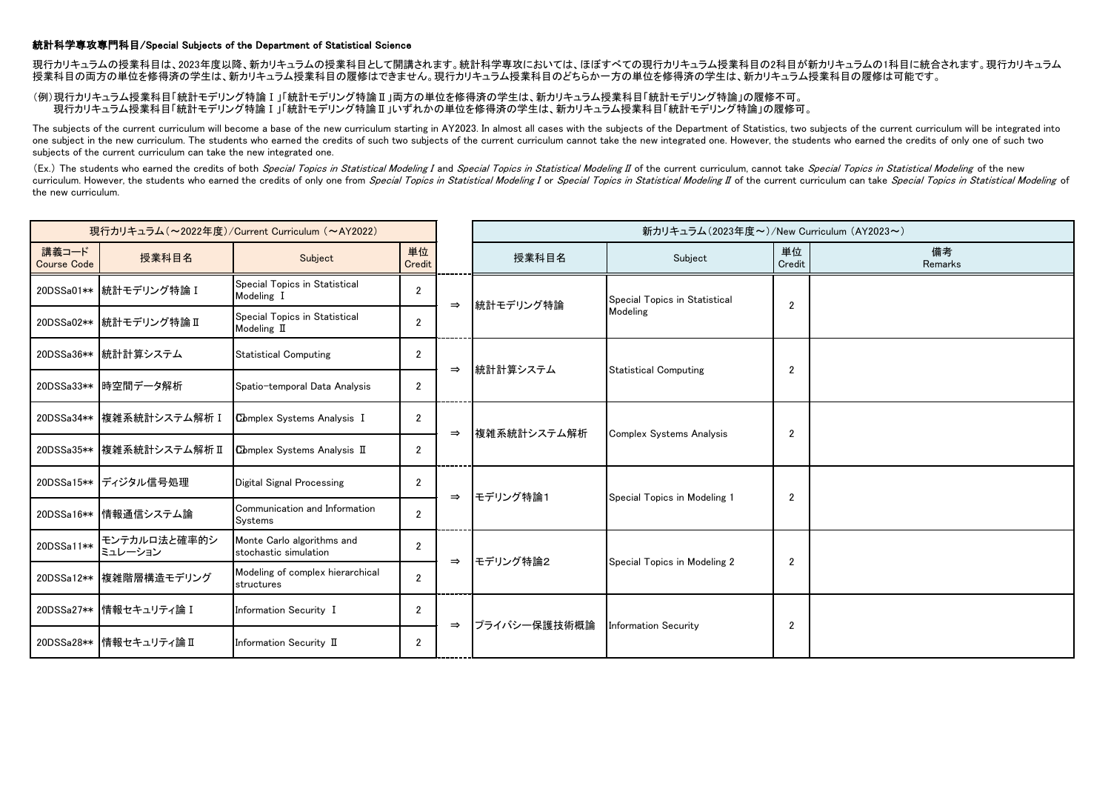## 統計科学専攻専門科目/Special Subjects of the Department of Statistical Science

現行カリキュラムの授業科目は、2023年度以降、新カリキュラムの授業科目として開講されます。統計科学専攻においては、ほぼすべての現行カリキュラム授業科目の2科目が新カリキュラムの1科目に統合されます。現行カリキュラム 授業科目の両方の単位を修得済の学生は、新カリキュラム授業科目の履修はできません。現行カリキュラム授業科目のどちらか一方の単位を修得済の学生は、新カリキュラム授業科目の履修は可能です。

## (例)現行カリキュラム授業科目「統計モデリング特論Ⅰ」「統計モデリング特論Ⅱ」両方の単位を修得済の学生は、新カリキュラム授業科目「統計モデリング特論」の履修不可。 現行カリキュラム授業科目「統計モデリング特論Ⅰ」「統計モデリング特論Ⅱ」いずれかの単位を修得済の学生は、新カリキュラム授業科目「統計モデリング特論」の履修可。

The subjects of the current curriculum will become a base of the new curriculum starting in AY2023. In almost all cases with the subjects of the Department of Statistics, two subjects of the current curriculum will be inte one subject in the new curriculum. The students who earned the credits of such two subjects of the current curriculum cannot take the new integrated one. However, the students who earned the credits of only one of such two subjects of the current curriculum can take the new integrated one.

(Ex.) The students who earned the credits of both Special Topics in Statistical Modeling I and Special Topics in Statistical Modeling II of the current curriculum, cannot take Special Topics in Statistical Modeling of the curriculum. However, the students who earned the credits of only one from Special Topics in Statistical Modeling I or Special Topics in Statistical Modeling II of the current curriculum can take Special Topics in Statistic the new curriculum.

| 現行カリキュラム (~2022年度)/Current Curriculum (~AY2022) |                           |                                                     |                       |               | 新カリキュラム(2023年度~)/New Curriculum (AY2023~) |                                           |                |               |
|-------------------------------------------------|---------------------------|-----------------------------------------------------|-----------------------|---------------|-------------------------------------------|-------------------------------------------|----------------|---------------|
| 講義コード<br><b>Course Code</b>                     | 授業科目名                     | Subject                                             | 単位<br>Credit          |               | 授業科目名                                     | Subject                                   | 単位<br>Credit   | 備考<br>Remarks |
| 20DSSa01**                                      | 标計モデリング特論 I               | Special Topics in Statistical<br>Modeling I         | $\overline{2}$        | $\Rightarrow$ |                                           | Special Topics in Statistical<br>Modeling |                |               |
|                                                 | 20DSSa02** 統計モデリング特論 II   | Special Topics in Statistical<br>Modeling II        | $\overline{2}$        |               | 統計モデリング特論                                 |                                           | $\overline{2}$ |               |
|                                                 | 20DSSa36** 統計計算システム       | <b>Statistical Computing</b>                        | $\mathbf{2}$          | $\Rightarrow$ | 統計計算システム                                  | <b>Statistical Computing</b>              | 2              |               |
| 20DSSa33**                                      | 時空間データ解析                  | Spatio-temporal Data Analysis                       | $\mathbf{2}^{\prime}$ |               |                                           |                                           |                |               |
| 20DSSa34**                                      | 核雑系統計システム解析 I             | Complex Systems Analysis I                          | $\overline{2}$        | $\Rightarrow$ | 複雑系統計システム解析                               | Complex Systems Analysis                  | 2              |               |
|                                                 | 20DSSa35** 複雑系統計システム解析 II | <b>Complex Systems Analysis II</b>                  | $\overline{2}$        |               |                                           |                                           |                |               |
|                                                 | 20DSSa15** ディジタル信号処理      | Digital Signal Processing                           | $\mathbf{2}$          | $\Rightarrow$ | モデリング特論1                                  | Special Topics in Modeling 1              | 2              |               |
| 20DSSa16**                                      | 情報通信システム論                 | Communication and Information<br>Systems            | $\overline{2}$        |               |                                           |                                           |                |               |
| 20DSSa11**                                      | モンテカルロ法と確率的シ<br>ミュレーション   | Monte Carlo algorithms and<br>stochastic simulation | $\overline{2}$        | $\Rightarrow$ | モデリング特論2                                  | Special Topics in Modeling 2              | 2              |               |
| 20DSSa12**                                      | 複雑階層構造モデリング               | Modeling of complex hierarchical<br>structures      | $\overline{2}$        |               |                                           |                                           |                |               |
| 20DSSa27**                                      | 情報セキュリティ論 I               | Information Security I                              | $\mathbf{2}$          | $\Rightarrow$ | プライバシー保護技術概論                              | <b>Information Security</b>               | $\overline{2}$ |               |
| 20DSSa28**                                      | 情報セキュリティ論Ⅱ                | Information Security II                             | $\mathbf{2}$          |               |                                           |                                           |                |               |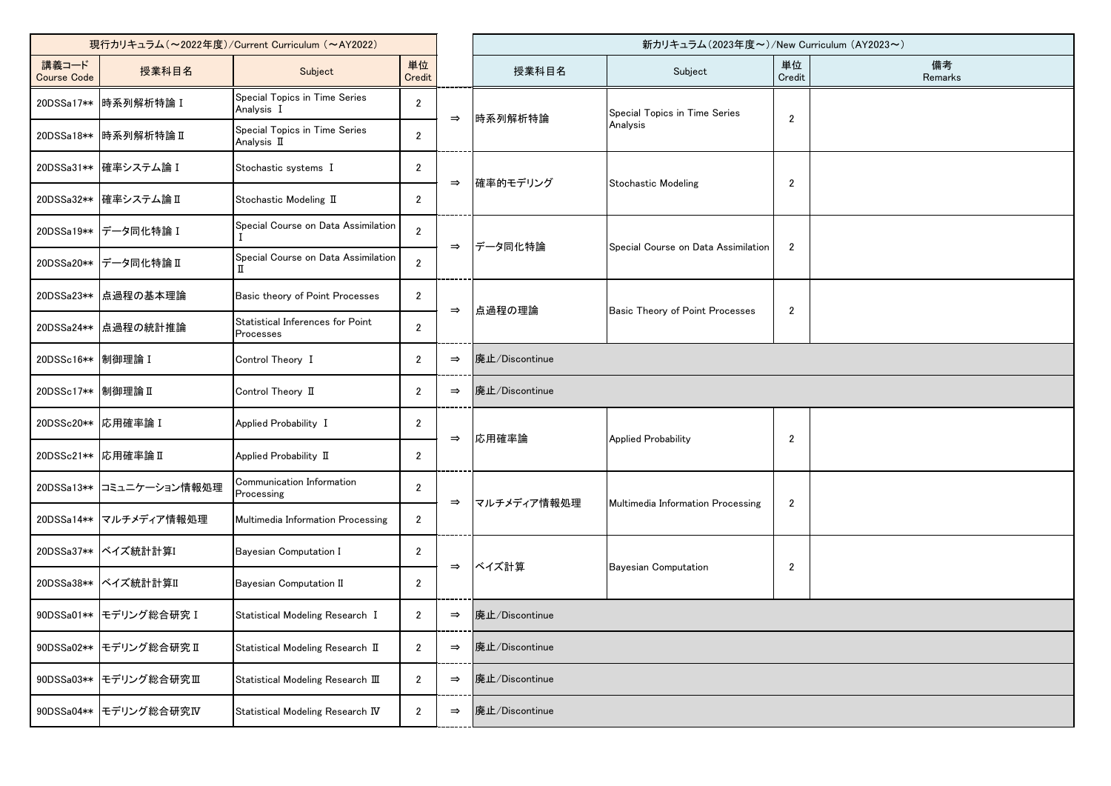| 現行カリキュラム (~2022年度)/Current Curriculum (~AY2022) |                          |                                                      |                |               |                                           | 新カリキュラム(2023年度~)/New Curriculum (AY2023~) |                |               |  |  |
|-------------------------------------------------|--------------------------|------------------------------------------------------|----------------|---------------|-------------------------------------------|-------------------------------------------|----------------|---------------|--|--|
| 講義コード<br><b>Course Code</b>                     | 授業科目名                    | Subject                                              | 単位<br>Credit   |               | 授業科目名                                     | Subject                                   | 単位<br>Credit   | 備考<br>Remarks |  |  |
|                                                 | 20DSSa17** 時系列解析特論 I     | Special Topics in Time Series<br>Analysis I          | $\overline{2}$ | $\Rightarrow$ | 時系列解析特論                                   | Special Topics in Time Series             | $\overline{2}$ |               |  |  |
|                                                 | 20DSSa18** 時系列解析特論 II    | Special Topics in Time Series<br>Analysis II         | $\overline{2}$ |               |                                           | Analysis                                  |                |               |  |  |
|                                                 | 20DSSa31** 確率システム論 I     | Stochastic systems I                                 | $\mathbf{2}$   | $\Rightarrow$ | 確率的モデリング                                  | <b>Stochastic Modeling</b>                | $\overline{2}$ |               |  |  |
|                                                 | 20DSSa32** 確率システム論 II    | Stochastic Modeling II                               | $\overline{2}$ |               |                                           |                                           |                |               |  |  |
|                                                 | 20DSSa19** データ同化特論 I     | Special Course on Data Assimilation                  | $\overline{2}$ |               | データ同化特論                                   | Special Course on Data Assimilation       | $\overline{2}$ |               |  |  |
|                                                 | 20DSSa20** データ同化特論 II    | Special Course on Data Assimilation                  | $\overline{2}$ | $\Rightarrow$ |                                           |                                           |                |               |  |  |
|                                                 | 20DSSa23** 点過程の基本理論      | Basic theory of Point Processes                      | $\mathbf{2}$   | $\Rightarrow$ | 点過程の理論<br>Basic Theory of Point Processes | $\overline{2}$                            |                |               |  |  |
|                                                 | 20DSSa24** 点過程の統計推論      | Statistical Inferences for Point<br><b>Processes</b> | $\overline{2}$ |               |                                           |                                           |                |               |  |  |
| 20DSSc16** 制御理論 I                               |                          | Control Theory I                                     | $\overline{2}$ | $\Rightarrow$ | 廃止/Discontinue                            |                                           |                |               |  |  |
| 20DSSc17 ** 制御理論 II                             |                          | Control Theory II                                    | $\overline{2}$ | $\Rightarrow$ | 廃止/Discontinue                            |                                           |                |               |  |  |
| 20DSSc20**  応用確率論 I                             |                          | Applied Probability I                                | $\mathbf{2}$   | $\Rightarrow$ | 応用確率論                                     | <b>Applied Probability</b>                | $\overline{2}$ |               |  |  |
| 20DSSc21**  応用確率論 II                            |                          | Applied Probability II                               | $\overline{2}$ |               |                                           |                                           |                |               |  |  |
|                                                 | 20DSSa13** コミュニケーション情報処理 | Communication Information<br>Processing              | $\mathbf{2}$   | $\Rightarrow$ | マルチメディア情報処理                               | Multimedia Information Processing         | $\overline{2}$ |               |  |  |
|                                                 | 20DSSa14** マルチメディア情報処理   | Multimedia Information Processing                    | $\overline{2}$ |               |                                           |                                           |                |               |  |  |
|                                                 | 20DSSa37** ベイズ統計計算I      | Bayesian Computation I                               | $\overline{2}$ | $\Rightarrow$ | ベイズ計算                                     | <b>Bayesian Computation</b>               | $\sqrt{2}$     |               |  |  |
|                                                 | 20DSSa38** ベイズ統計計算II     | Bayesian Computation II                              | $\overline{2}$ |               |                                           |                                           |                |               |  |  |
|                                                 | 90DSSa01** モデリング総合研究 I   | Statistical Modeling Research I                      | $\overline{2}$ | $\Rightarrow$ | 廃止/Discontinue                            |                                           |                |               |  |  |
|                                                 | 90DSSa02** モデリング総合研究 II  | Statistical Modeling Research II                     | $\overline{2}$ | $\Rightarrow$ | 廃止/Discontinue                            |                                           |                |               |  |  |
| 90DSSa03**                                      | モデリング総合研究Ⅲ               | Statistical Modeling Research III                    | $\overline{2}$ | $\Rightarrow$ | 廃止/Discontinue                            |                                           |                |               |  |  |
|                                                 | 90DSSa04** モデリング総合研究IV   | Statistical Modeling Research IV                     | $\overline{2}$ | $\Rightarrow$ | 廃止/Discontinue                            |                                           |                |               |  |  |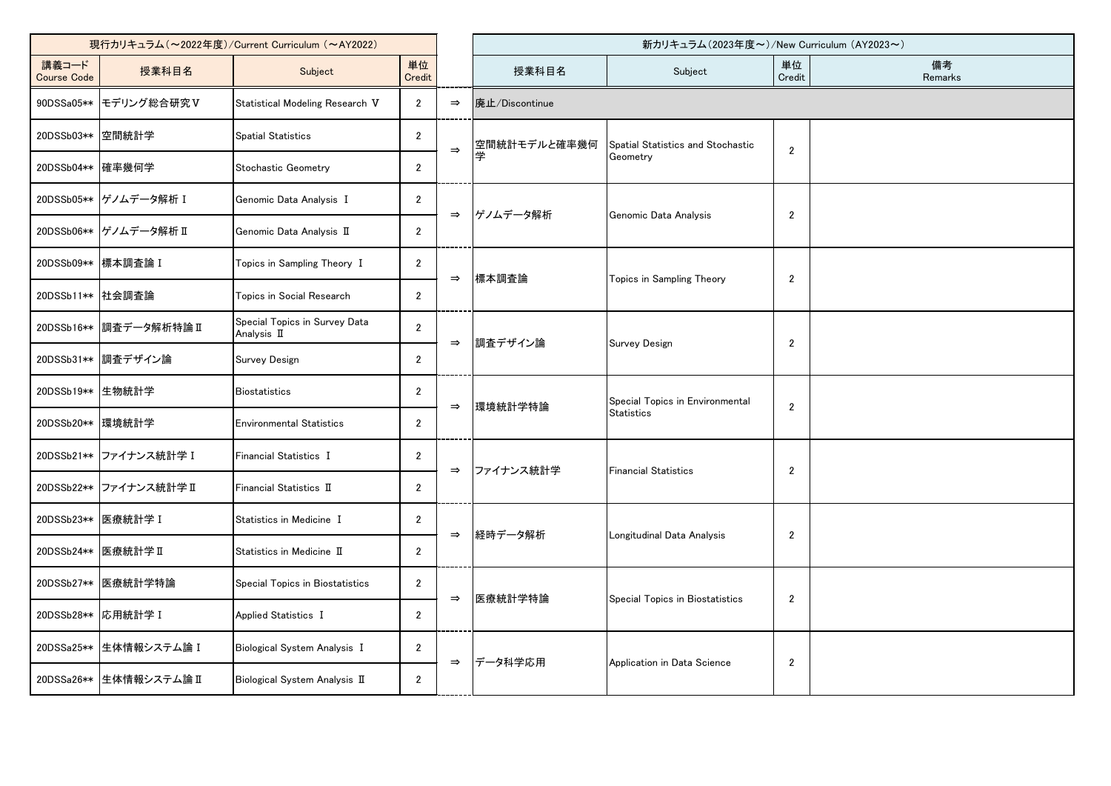| 現行カリキュラム (~2022年度)/Current Curriculum (~AY2022) |                         |                                              |                |               |                | 新カリキュラム(2023年度~)/New Curriculum (AY2023~)            |                |               |
|-------------------------------------------------|-------------------------|----------------------------------------------|----------------|---------------|----------------|------------------------------------------------------|----------------|---------------|
| 講義コード<br><b>Course Code</b>                     | 授業科目名                   | Subject                                      | 単位<br>Credit   |               | 授業科目名          | Subject                                              | 単位<br>Credit   | 備考<br>Remarks |
| 90DSSa05**                                      | モデリング総合研究V              | Statistical Modeling Research V              | $\overline{2}$ | $\Rightarrow$ | 廃止/Discontinue |                                                      |                |               |
| 20DSSb03**                                      | 空間統計学                   | <b>Spatial Statistics</b>                    | $\overline{2}$ | $\Rightarrow$ | 空間統計モデルと確率幾何   | Spatial Statistics and Stochastic                    | $\mathbf{2}$   |               |
| 20DSSb04** 確率幾何学                                |                         | Stochastic Geometry                          | $\overline{2}$ |               |                | Geometry                                             |                |               |
|                                                 | 20DSSb05**  ゲノムデータ解析 I  | Genomic Data Analysis I                      | $\mathbf{2}$   |               | ゲノムデータ解析       | Genomic Data Analysis                                |                |               |
|                                                 | 20DSSb06** グノムデータ解析 II  | Genomic Data Analysis II                     | $\overline{2}$ | $\Rightarrow$ |                |                                                      | $\mathbf{2}$   |               |
|                                                 | 20DSSb09** 標本調査論 I      | Topics in Sampling Theory I                  | $\overline{2}$ |               |                |                                                      | $\mathbf{2}$   |               |
| 20DSSb11** 社会調査論                                |                         | Topics in Social Research                    | $\overline{2}$ | $\Rightarrow$ | 標本調査論          | Topics in Sampling Theory                            |                |               |
| 20DSSb16**                                      | ■調査データ解析特論Ⅱ             | Special Topics in Survey Data<br>Analysis II | $\overline{2}$ |               | 調査デザイン論        | <b>Survey Design</b>                                 | $\overline{2}$ |               |
| 20DSSb31**                                      | 調査デザイン論                 | Survey Design                                | $\overline{2}$ | $\Rightarrow$ |                |                                                      |                |               |
| 20DSSb19**                                      | 生物統計学                   | <b>Biostatistics</b>                         | $\overline{2}$ |               | 環境統計学特論        | Special Topics in Environmental<br><b>Statistics</b> | $\overline{2}$ |               |
| 20DSSb20**  環境統計学                               |                         | <b>Environmental Statistics</b>              | $\overline{2}$ | $\Rightarrow$ |                |                                                      |                |               |
|                                                 | 20DSSb21** ファイナンス統計学 I  | Financial Statistics I                       | $\mathbf{2}$   |               | ファイナンス統計学      | <b>Financial Statistics</b>                          | $\overline{c}$ |               |
|                                                 | 20DSSb22** ファイナンス統計学 II | Financial Statistics II                      | $\overline{2}$ | $\Rightarrow$ |                |                                                      |                |               |
| 20DSSb23**  医療統計学 I                             |                         | Statistics in Medicine I                     | $\overline{2}$ | $\Rightarrow$ |                |                                                      | $\overline{2}$ |               |
| 20DSSb24** 医療統計学 II                             |                         | Statistics in Medicine II                    | $\mathbf{2}$   |               | 経時データ解析        | Longitudinal Data Analysis                           |                |               |
| 20DSSb27**                                      | 医療統計学特論                 | Special Topics in Biostatistics              | $\overline{2}$ |               | 医療統計学特論        |                                                      |                |               |
| 20DSSb28**                                      | 応用統計学 I                 | Applied Statistics I                         | $\mathbf{2}$   | $\Rightarrow$ |                | Special Topics in Biostatistics                      | $\overline{2}$ |               |
| 20DSSa25**                                      | 生体情報システム論 I             | Biological System Analysis I                 | $\mathbf{2}$   |               |                | Application in Data Science                          | $\overline{2}$ |               |
| 20DSSa26**                                      | 生体情報システム論 II            | Biological System Analysis II                | $\mathbf{2}$   | $\Rightarrow$ | データ科学応用        |                                                      |                |               |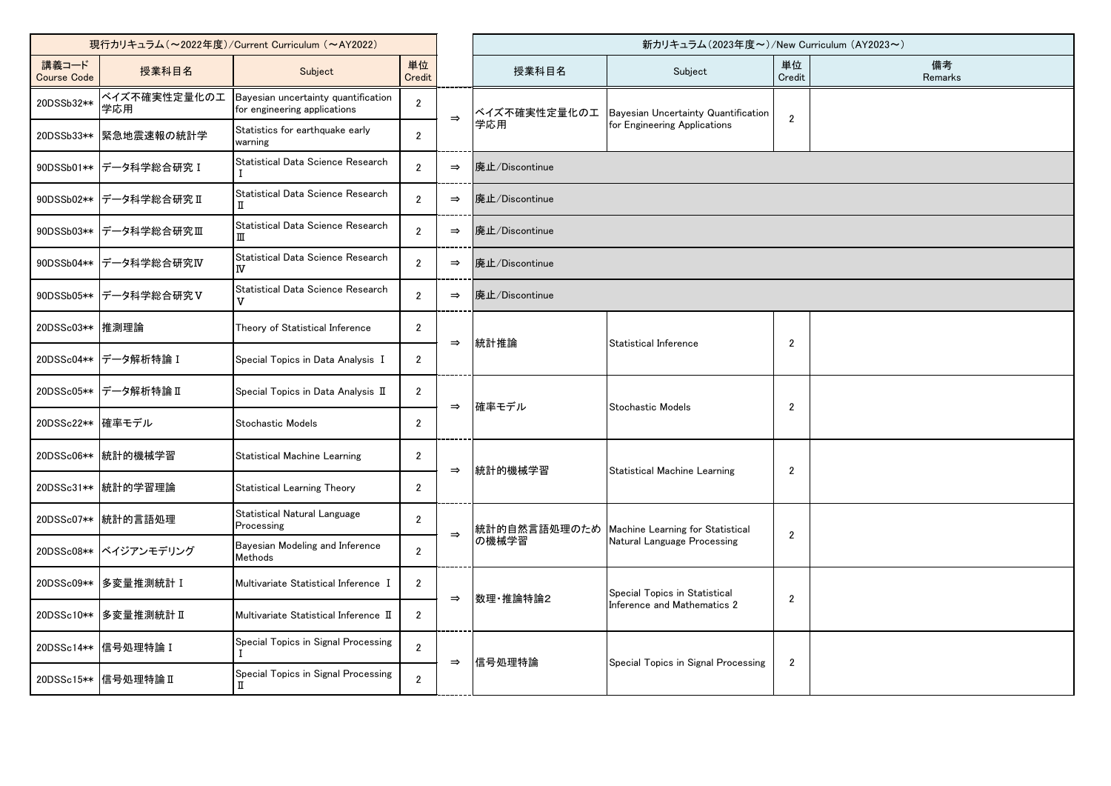| 現行カリキュラム (~2022年度)/Current Curriculum (~AY2022) |                         |                                                                     |                |               |                               | 新カリキュラム (2023年度~)/New Curriculum (AY2023~)                      |                |               |
|-------------------------------------------------|-------------------------|---------------------------------------------------------------------|----------------|---------------|-------------------------------|-----------------------------------------------------------------|----------------|---------------|
| 講義コード<br><b>Course Code</b>                     | 授業科目名                   | Subject                                                             | 単位<br>Credit   |               | 授業科目名                         | Subject                                                         | 単位<br>Credit   | 備考<br>Remarks |
| 20DSSb32**                                      | ベイズ不確実性定量化のエ<br>学応用     | Bayesian uncertainty quantification<br>for engineering applications | $\overline{2}$ | $\Rightarrow$ | ベイズ不確実性定量化のエ                  | Bayesian Uncertainty Quantification                             |                |               |
| 20DSSb33**                                      | 緊急地震速報の統計学              | Statistics for earthquake early<br>warning                          | $\overline{2}$ |               | 学応用                           | for Engineering Applications                                    | $\overline{2}$ |               |
|                                                 | 90DSSb01** データ科学総合研究 I  | Statistical Data Science Research                                   | $\overline{2}$ | $\Rightarrow$ | 廃止/Discontinue                |                                                                 |                |               |
|                                                 | 90DSSb02** データ科学総合研究 II | Statistical Data Science Research<br>п                              | $\overline{2}$ | $\Rightarrow$ | 廃止/Discontinue                |                                                                 |                |               |
|                                                 | 90DSSb03** データ科学総合研究Ⅲ   | Statistical Data Science Research<br>Ш                              | $\overline{2}$ | $\Rightarrow$ | 廃止/Discontinue                |                                                                 |                |               |
|                                                 | 90DSSb04** データ科学総合研究IV  | Statistical Data Science Research<br>IV                             | $\overline{2}$ | $\Rightarrow$ | 廃止/Discontinue                |                                                                 |                |               |
|                                                 | 90DSSb05** データ科学総合研究V   | Statistical Data Science Research<br>v                              | $\overline{2}$ | $\Rightarrow$ | 廃止/Discontinue                |                                                                 |                |               |
| 20DSSc03** 推測理論                                 |                         | Theory of Statistical Inference                                     | $\overline{2}$ | $\Rightarrow$ | 統計推論<br>Statistical Inference |                                                                 | 2              |               |
|                                                 | 20DSSc04** データ解析特論 I    | Special Topics in Data Analysis I                                   | $\overline{2}$ |               |                               |                                                                 |                |               |
|                                                 | 20DSSc05** データ解析特論 II   | Special Topics in Data Analysis II                                  | $\overline{2}$ |               | 確率モデル                         | Stochastic Models                                               | $\overline{2}$ |               |
| 20DSSc22** 確率モデル                                |                         | Stochastic Models                                                   | $\overline{2}$ | $\Rightarrow$ |                               |                                                                 |                |               |
|                                                 | 20DSSc06** 統計的機械学習      | <b>Statistical Machine Learning</b>                                 | $\overline{2}$ |               | 統計的機械学習                       | <b>Statistical Machine Learning</b>                             | $\overline{2}$ |               |
|                                                 | 20DSSc31** 統計的学習理論      | Statistical Learning Theory                                         | $\overline{2}$ | $\Rightarrow$ |                               |                                                                 |                |               |
|                                                 | 20DSSc07** 統計的言語処理      | Statistical Natural Language<br>Processing                          | $\overline{2}$ | $\Rightarrow$ | 統計的自然言語処理のため                  | Machine Learning for Statistical<br>Natural Language Processing |                |               |
|                                                 | 20DSSc08** ベイジアンモデリング   | Bayesian Modeling and Inference<br>Methods                          | $\overline{2}$ |               | の機械学習                         |                                                                 | $\overline{2}$ |               |
|                                                 | 20DSSc09** 多変量推測統計 I    | Multivariate Statistical Inference I                                | $\overline{2}$ | $\Rightarrow$ | 数理 推論特論2                      | Special Topics in Statistical                                   |                |               |
|                                                 | 20DSSc10 ** 多変量推測統計 II  | Multivariate Statistical Inference II                               | $\overline{2}$ |               |                               | Inference and Mathematics 2                                     | $\overline{2}$ |               |
|                                                 | 20DSSc14** 信号処理特論 I     | Special Topics in Signal Processing                                 | $\overline{2}$ | $\Rightarrow$ | 信号処理特論                        |                                                                 |                |               |
|                                                 | 20DSSc15** 信号処理特論 II    | Special Topics in Signal Processing                                 | $\overline{2}$ |               |                               | Special Topics in Signal Processing                             | $\overline{2}$ |               |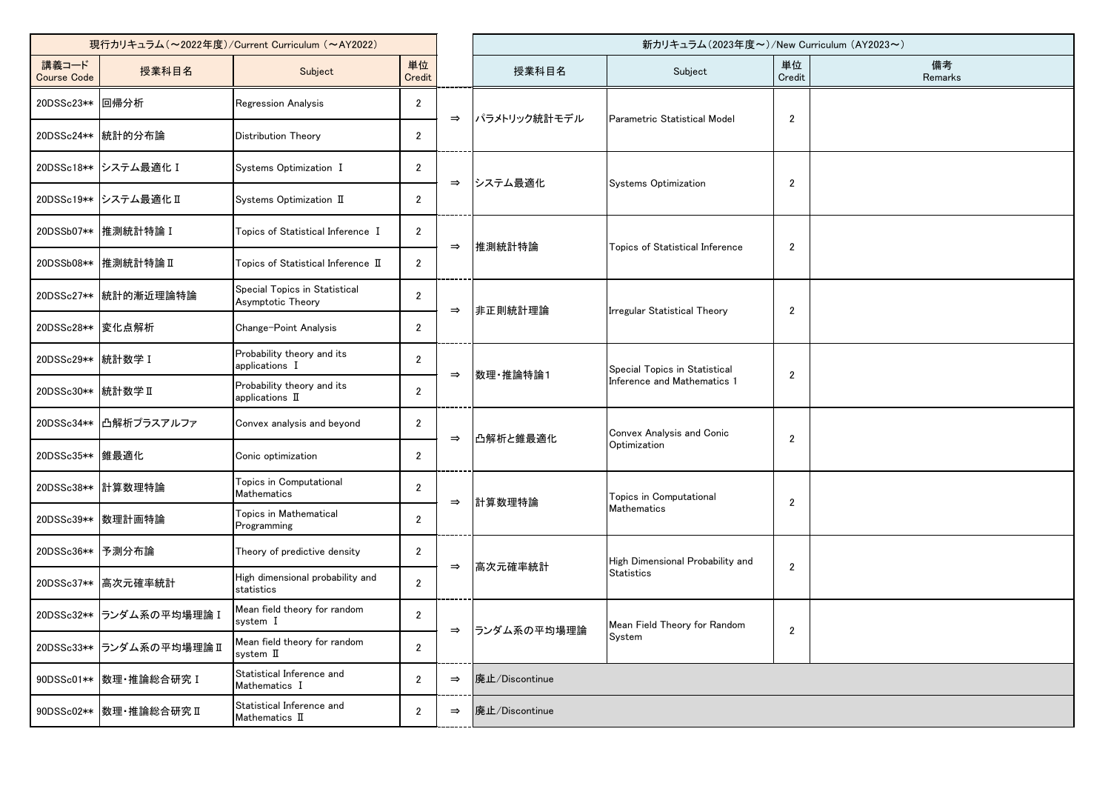| 現行カリキュラム (~2022年度)/Current Curriculum (~AY2022) |                           |                                                    |                |               | 新カリキュラム(2023年度~)/New Curriculum (AY2023~) |                                                              |                |               |  |  |
|-------------------------------------------------|---------------------------|----------------------------------------------------|----------------|---------------|-------------------------------------------|--------------------------------------------------------------|----------------|---------------|--|--|
| 講義コード<br><b>Course Code</b>                     | 授業科目名                     | Subject                                            | 単位<br>Credit   |               | 授業科目名                                     | Subject                                                      | 単位<br>Credit   | 備考<br>Remarks |  |  |
| 20DSSc23** 回帰分析                                 |                           | Regression Analysis                                | $\overline{2}$ | $\Rightarrow$ | パラメトリック統計モデル                              | Parametric Statistical Model                                 | $\overline{c}$ |               |  |  |
|                                                 | 20DSSc24** 統計的分布論         | Distribution Theory                                | $\mathbf{2}$   |               |                                           |                                                              |                |               |  |  |
|                                                 | 20DSSc18**  システム最適化 I     | Systems Optimization I                             | $\overline{2}$ | $\Rightarrow$ | システム最適化                                   | Systems Optimization                                         | $\overline{c}$ |               |  |  |
|                                                 | 20DSSc19** システム最適化 II     | Systems Optimization II                            | $\overline{2}$ |               |                                           |                                                              |                |               |  |  |
|                                                 | 20DSSb07** 推測統計特論 I       | Topics of Statistical Inference I                  | $\overline{2}$ | $\Rightarrow$ | 推測統計特論                                    | Topics of Statistical Inference                              | $\overline{2}$ |               |  |  |
|                                                 | 20DSSb08** 推測統計特論 II      | Topics of Statistical Inference $I\!I$             | $\mathbf{2}$   |               |                                           |                                                              |                |               |  |  |
|                                                 | 20DSSc27** 統計的漸近理論特論      | Special Topics in Statistical<br>Asymptotic Theory | $\overline{2}$ | $\Rightarrow$ | 非正則統計理論                                   | Irregular Statistical Theory                                 | $\overline{2}$ |               |  |  |
| 20DSSc28**   変化点解析                              |                           | Change-Point Analysis                              | $\overline{2}$ |               |                                           |                                                              |                |               |  |  |
| 20DSSc29 ** 統計数学 I                              |                           | Probability theory and its<br>applications I       | $\overline{2}$ | $\Rightarrow$ | 数理 推論特論1                                  | Special Topics in Statistical<br>Inference and Mathematics 1 | $\overline{c}$ |               |  |  |
| 20DSSc30 ** 統計数学 II                             |                           | Probability theory and its<br>applications II      | $\mathbf{2}$   |               |                                           |                                                              |                |               |  |  |
|                                                 | 20DSSc34** 凸解析プラスアルファ     | Convex analysis and beyond                         | $\mathbf{2}$   | $\Rightarrow$ | 凸解析と錐最適化                                  | Convex Analysis and Conic<br>Optimization                    | $\overline{c}$ |               |  |  |
| 20DSSc35**   錐最適化                               |                           | Conic optimization                                 | $\overline{2}$ |               |                                           |                                                              |                |               |  |  |
|                                                 | 20DSSc38** 計算数理特論         | Topics in Computational<br>Mathematics             | $\overline{2}$ | $\Rightarrow$ | 計算数理特論                                    | Topics in Computational<br>Mathematics                       | $\overline{c}$ |               |  |  |
|                                                 | 20DSSc39**   数理計画特論       | Topics in Mathematical<br>Programming              | $\overline{2}$ |               |                                           |                                                              |                |               |  |  |
| 20DSSc36**  予測分布論                               |                           | Theory of predictive density                       | $\overline{2}$ |               |                                           | High Dimensional Probability and                             |                |               |  |  |
|                                                 | 20DSSc37** 高次元確率統計        | High dimensional probability and<br>statistics     | $\overline{2}$ | $\Rightarrow$ | 高次元確率統計                                   | <b>Statistics</b>                                            | $\overline{2}$ |               |  |  |
|                                                 | 20DSSc32** ランダム系の平均場理論 I  | Mean field theory for random<br>system I           | $\overline{2}$ |               |                                           | Mean Field Theory for Random                                 |                |               |  |  |
|                                                 | 20DSSc33** ランダム系の平均場理論 II | Mean field theory for random<br>system II          | $\overline{2}$ | $\Rightarrow$ | ランダム系の平均場理論                               | System                                                       | $\overline{c}$ |               |  |  |
|                                                 | 90DSSc01**   数理· 推論総合研究 I | Statistical Inference and<br>Mathematics I         | $\overline{2}$ | $\Rightarrow$ | 廃止/Discontinue                            |                                                              |                |               |  |  |
|                                                 | 90DSSc02** 数理·推論総合研究 II   | Statistical Inference and<br>Mathematics II        | $\mathbf{2}$   | $\Rightarrow$ | 廃止/Discontinue                            |                                                              |                |               |  |  |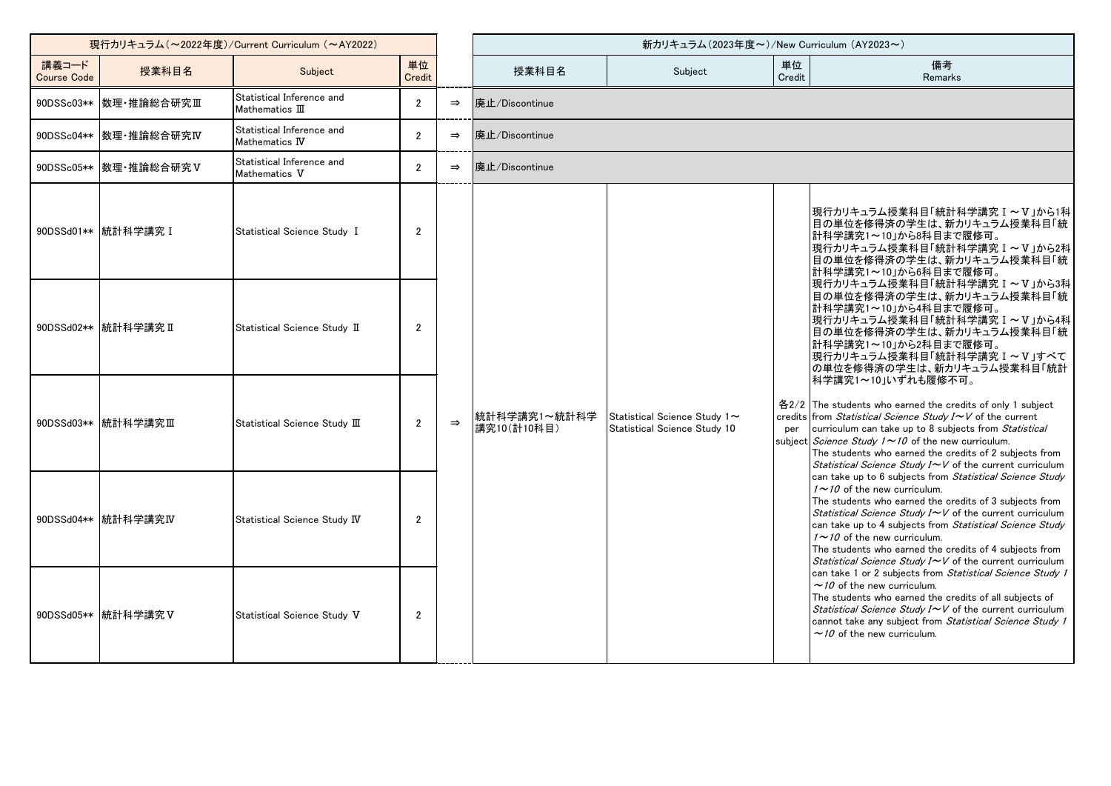| 現行カリキュラム (~2022年度)/Current Curriculum (~AY2022) |                           |                                              |                |               | 新カリキュラム (2023年度~)/New Curriculum (AY2023~) |                                                              |              |                                                                                                                                                                                                                                                                                                                                                                                                                                            |  |  |  |
|-------------------------------------------------|---------------------------|----------------------------------------------|----------------|---------------|--------------------------------------------|--------------------------------------------------------------|--------------|--------------------------------------------------------------------------------------------------------------------------------------------------------------------------------------------------------------------------------------------------------------------------------------------------------------------------------------------------------------------------------------------------------------------------------------------|--|--|--|
| 講義コード<br><b>Course Code</b>                     | 授業科目名                     | Subject                                      | 単位<br>Credit   |               | 授業科目名                                      | Subject                                                      | 単位<br>Credit | 備考<br>Remarks                                                                                                                                                                                                                                                                                                                                                                                                                              |  |  |  |
|                                                 | 90DSSc03** 数理·推論総合研究Ⅲ     | Statistical Inference and<br>Mathematics III | $\overline{2}$ | $\Rightarrow$ | 廃止/Discontinue                             |                                                              |              |                                                                                                                                                                                                                                                                                                                                                                                                                                            |  |  |  |
|                                                 | 90DSSc04**   数理·推論総合研究IV  | Statistical Inference and<br>Mathematics IV  | $\mathcal{P}$  | $\Rightarrow$ | 廃止/Discontinue                             |                                                              |              |                                                                                                                                                                                                                                                                                                                                                                                                                                            |  |  |  |
|                                                 | 90DSSc05**   数理 · 推論総合研究V | Statistical Inference and<br>Mathematics V   | $\overline{2}$ | $\Rightarrow$ | 廃止/Discontinue                             |                                                              |              |                                                                                                                                                                                                                                                                                                                                                                                                                                            |  |  |  |
|                                                 | 90DSSd01** 統計科学講究 I       | Statistical Science Study I                  | $\overline{2}$ |               |                                            |                                                              |              | 現行カリキュラム授業科目「統計科学講究Ⅰ~Ⅴ」から1科<br>目の単位を修得済の学生は、新カリキュラム授業科目「統<br> 計科学講究1~10」から8科目まで履修可。<br> 現行カリキュラム授業科目「統計科学講究 I ~ V」から2科<br>目の単位を修得済の学生は、新カリキュラム授業科目「統<br>計科学講究1~10」から6科目まで履修可。                                                                                                                                                                                                                                                              |  |  |  |
|                                                 | 90DSSd02** 統計科学講究 II      | Statistical Science Study II                 | $\overline{2}$ |               |                                            |                                                              |              | 現行カリキュラム授業科目「統計科学講究 I ~ V」から3科<br>目の単位を修得済の学生は、新カリキュラム授業科目「統<br>計科学講究1~10」から4科目まで履修可。<br> 現行カリキュラム授業科目「統計科学講究 I ~ V」から4科<br> 目の単位を修得済の学生は、新カリキュラム授業科目「統<br> 計科学講究1~10」から2科目まで履修可。<br> 現行カリキュラム授業科目「統計科学講究 I ~V」すべて<br> の単位を修得済の学生は、新カリキュラム授業科目「統計<br>科学講究1~10」いずれも履修不可。                                                                                                                                                                    |  |  |  |
|                                                 | 90DSSd03** 統計科学講究Ⅲ        | Statistical Science Study III                | $\overline{2}$ | $\Rightarrow$ | 統計科学講究1~統計科学<br>講究10(計10科目)                | Statistical Science Study 1~<br>Statistical Science Study 10 | per          | 各2/2 The students who earned the credits of only 1 subject<br>credits from Statistical Science Study I~V of the current<br>curriculum can take up to 8 subjects from Statistical<br>subject <i>Science Study 1</i> $\sim$ 10 of the new curriculum.<br>The students who earned the credits of 2 subjects from<br>Statistical Science Study I~V of the current curriculum                                                                   |  |  |  |
|                                                 | 90DSSd04** 統計科学講究IV       | Statistical Science Study IV                 | $\overline{2}$ |               |                                            |                                                              |              | can take up to 6 subjects from Statistical Science Study<br>$1 \sim 10$ of the new curriculum.<br>The students who earned the credits of 3 subjects from<br>Statistical Science Study I~V of the current curriculum<br>can take up to 4 subjects from Statistical Science Study<br>$1 \sim 10$ of the new curriculum.<br>The students who earned the credits of 4 subjects from<br>Statistical Science Study I~V of the current curriculum |  |  |  |
|                                                 | 90DSSd05 ** 統計科学講究 V      | Statistical Science Study V                  | $\overline{2}$ |               |                                            |                                                              |              | can take 1 or 2 subjects from Statistical Science Study 1<br>$\sim$ 10 of the new curriculum.<br>The students who earned the credits of all subjects of<br>Statistical Science Study $I \sim V$ of the current curriculum<br>cannot take any subject from Statistical Science Study 1<br>$\sim$ 10 of the new curriculum.                                                                                                                  |  |  |  |